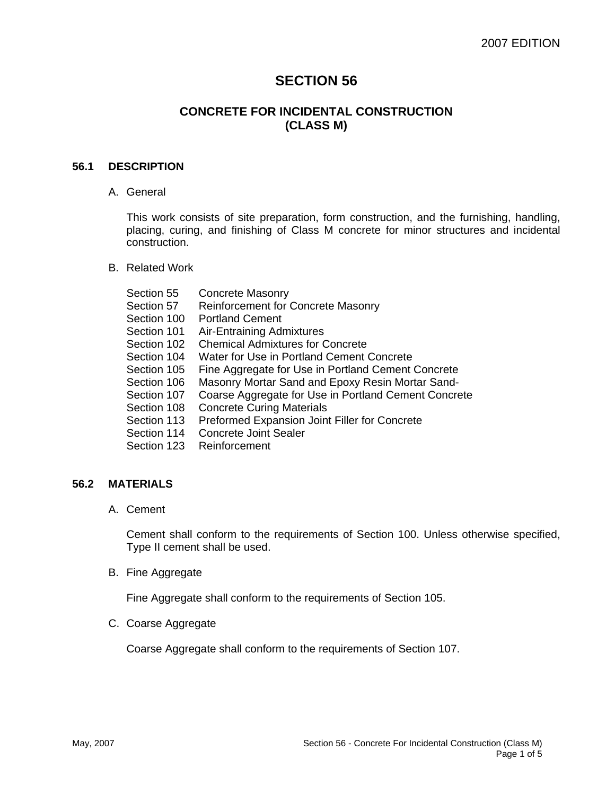# **SECTION 56**

# **CONCRETE FOR INCIDENTAL CONSTRUCTION (CLASS M)**

#### **56.1 DESCRIPTION**

A. General

This work consists of site preparation, form construction, and the furnishing, handling, placing, curing, and finishing of Class M concrete for minor structures and incidental construction.

B. Related Work

| Section 55  | <b>Concrete Masonry</b>                              |
|-------------|------------------------------------------------------|
| Section 57  | Reinforcement for Concrete Masonry                   |
| Section 100 | <b>Portland Cement</b>                               |
| Section 101 | <b>Air-Entraining Admixtures</b>                     |
| Section 102 | <b>Chemical Admixtures for Concrete</b>              |
| Section 104 | Water for Use in Portland Cement Concrete            |
| Section 105 | Fine Aggregate for Use in Portland Cement Concrete   |
| Section 106 | Masonry Mortar Sand and Epoxy Resin Mortar Sand-     |
| Section 107 | Coarse Aggregate for Use in Portland Cement Concrete |
| Section 108 | <b>Concrete Curing Materials</b>                     |
| Section 113 | Preformed Expansion Joint Filler for Concrete        |
| Section 114 | <b>Concrete Joint Sealer</b>                         |
| Section 123 | Reinforcement                                        |
|             |                                                      |

#### **56.2 MATERIALS**

A. Cement

Cement shall conform to the requirements of Section 100. Unless otherwise specified, Type II cement shall be used.

B. Fine Aggregate

Fine Aggregate shall conform to the requirements of Section 105.

C. Coarse Aggregate

Coarse Aggregate shall conform to the requirements of Section 107.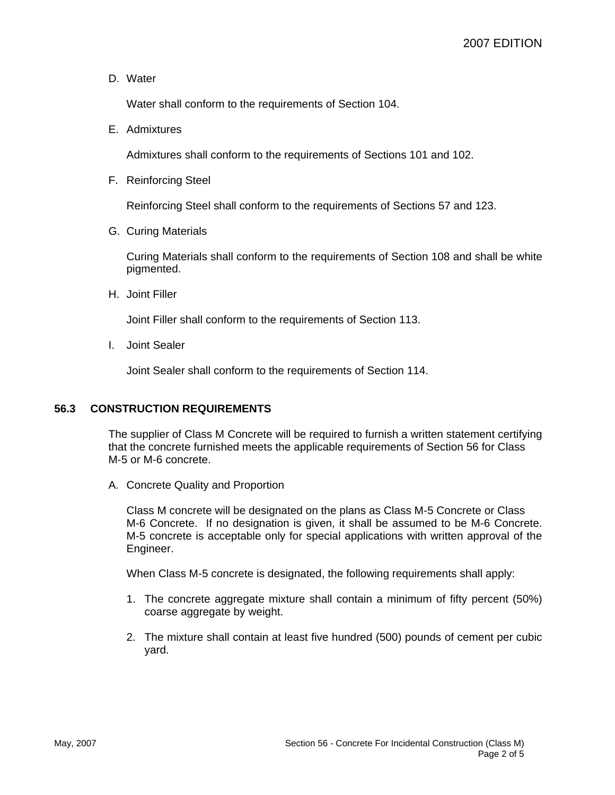D. Water

Water shall conform to the requirements of Section 104.

E. Admixtures

Admixtures shall conform to the requirements of Sections 101 and 102.

F. Reinforcing Steel

Reinforcing Steel shall conform to the requirements of Sections 57 and 123.

G. Curing Materials

Curing Materials shall conform to the requirements of Section 108 and shall be white pigmented.

H. Joint Filler

Joint Filler shall conform to the requirements of Section 113.

I. Joint Sealer

Joint Sealer shall conform to the requirements of Section 114.

### **56.3 CONSTRUCTION REQUIREMENTS**

The supplier of Class M Concrete will be required to furnish a written statement certifying that the concrete furnished meets the applicable requirements of Section 56 for Class M-5 or M-6 concrete.

A. Concrete Quality and Proportion

Class M concrete will be designated on the plans as Class M-5 Concrete or Class M-6 Concrete. If no designation is given, it shall be assumed to be M-6 Concrete. M-5 concrete is acceptable only for special applications with written approval of the Engineer.

When Class M-5 concrete is designated, the following requirements shall apply:

- 1. The concrete aggregate mixture shall contain a minimum of fifty percent (50%) coarse aggregate by weight.
- 2. The mixture shall contain at least five hundred (500) pounds of cement per cubic yard.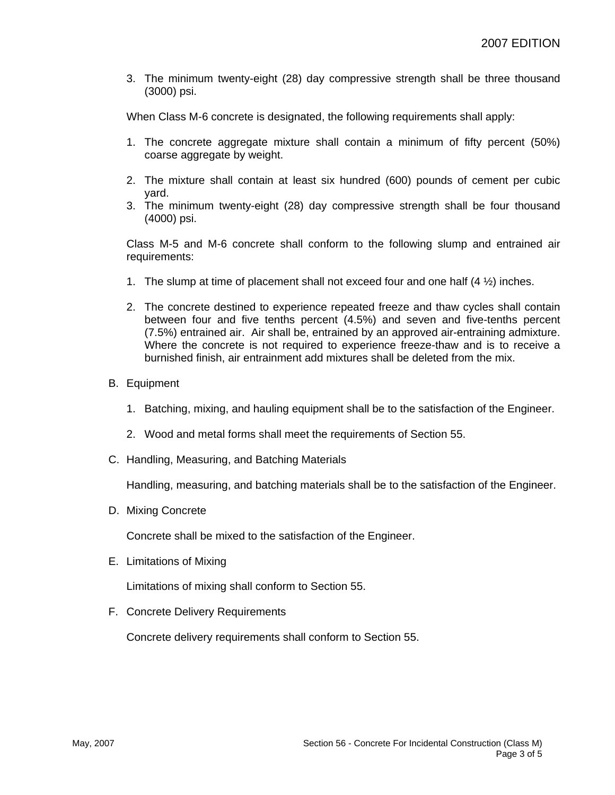3. The minimum twenty-eight (28) day compressive strength shall be three thousand (3000) psi.

When Class M-6 concrete is designated, the following requirements shall apply:

- 1. The concrete aggregate mixture shall contain a minimum of fifty percent (50%) coarse aggregate by weight.
- 2. The mixture shall contain at least six hundred (600) pounds of cement per cubic yard.
- 3. The minimum twenty-eight (28) day compressive strength shall be four thousand (4000) psi.

Class M-5 and M-6 concrete shall conform to the following slump and entrained air requirements:

- 1. The slump at time of placement shall not exceed four and one half  $(4 \frac{1}{2})$  inches.
- 2. The concrete destined to experience repeated freeze and thaw cycles shall contain between four and five tenths percent (4.5%) and seven and five-tenths percent (7.5%) entrained air. Air shall be, entrained by an approved air-entraining admixture. Where the concrete is not required to experience freeze-thaw and is to receive a burnished finish, air entrainment add mixtures shall be deleted from the mix.
- B. Equipment
	- 1. Batching, mixing, and hauling equipment shall be to the satisfaction of the Engineer.
	- 2. Wood and metal forms shall meet the requirements of Section 55.
- C. Handling, Measuring, and Batching Materials

Handling, measuring, and batching materials shall be to the satisfaction of the Engineer.

D. Mixing Concrete

Concrete shall be mixed to the satisfaction of the Engineer.

E. Limitations of Mixing

Limitations of mixing shall conform to Section 55.

F. Concrete Delivery Requirements

Concrete delivery requirements shall conform to Section 55.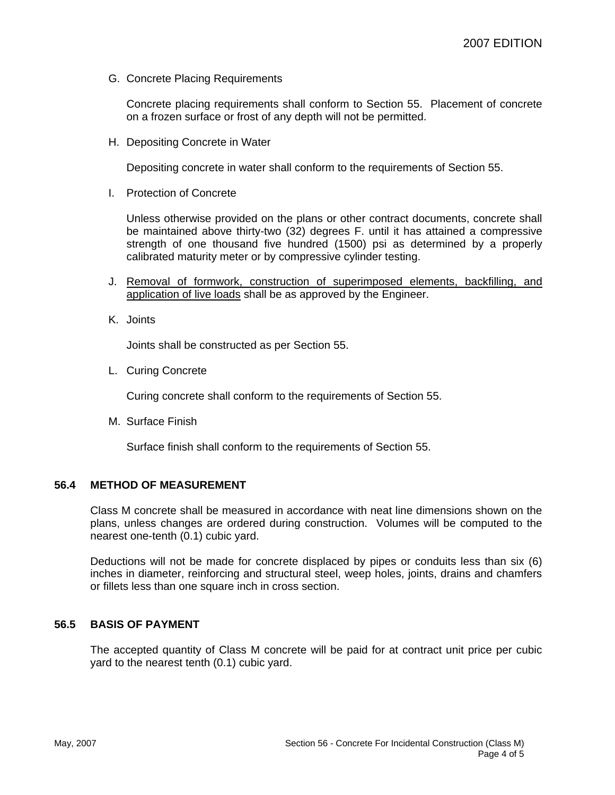G. Concrete Placing Requirements

Concrete placing requirements shall conform to Section 55. Placement of concrete on a frozen surface or frost of any depth will not be permitted.

H. Depositing Concrete in Water

Depositing concrete in water shall conform to the requirements of Section 55.

I. Protection of Concrete

Unless otherwise provided on the plans or other contract documents, concrete shall be maintained above thirty-two (32) degrees F. until it has attained a compressive strength of one thousand five hundred (1500) psi as determined by a properly calibrated maturity meter or by compressive cylinder testing.

- J. Removal of formwork, construction of superimposed elements, backfilling, and application of live loads shall be as approved by the Engineer.
- K. Joints

Joints shall be constructed as per Section 55.

L. Curing Concrete

Curing concrete shall conform to the requirements of Section 55.

M. Surface Finish

Surface finish shall conform to the requirements of Section 55.

#### **56.4 METHOD OF MEASUREMENT**

Class M concrete shall be measured in accordance with neat line dimensions shown on the plans, unless changes are ordered during construction. Volumes will be computed to the nearest one-tenth (0.1) cubic yard.

Deductions will not be made for concrete displaced by pipes or conduits less than six (6) inches in diameter, reinforcing and structural steel, weep holes, joints, drains and chamfers or fillets less than one square inch in cross section.

### **56.5 BASIS OF PAYMENT**

The accepted quantity of Class M concrete will be paid for at contract unit price per cubic yard to the nearest tenth (0.1) cubic yard.